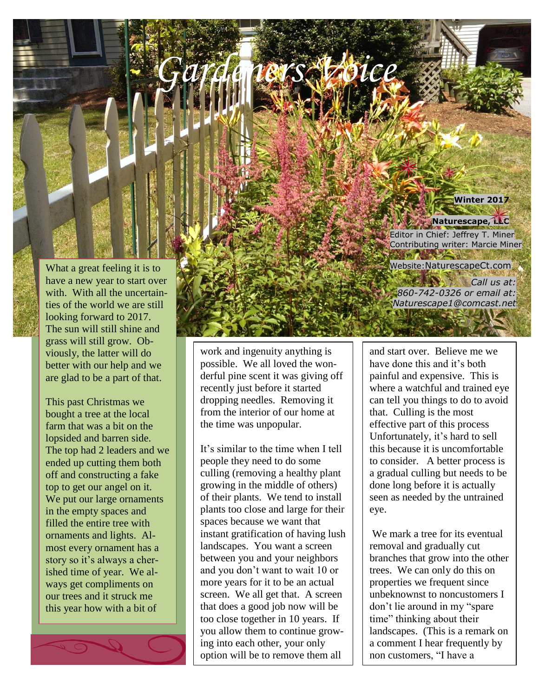

## **Naturescape, LLC**

Editor in Chief: Jeffrey T. Miner Contributing writer: Marcie Miner 

**Ariel 1** *Gardeners Voice*

Website:NaturescapeCt.com

*Call us at: 860-742-0326 or email at: Naturescape1@comcast.net*

and start over. Believe me we have done this and it's both painful and expensive. This is where a watchful and trained eye can tell you things to do to avoid that. Culling is the most effective part of this process Unfortunately, it's hard to sell this because it is uncomfortable to consider. A better process is a gradual culling but needs to be done long before it is actually seen as needed by the untrained eye.

We mark a tree for its eventual removal and gradually cut branches that grow into the other trees. We can only do this on properties we frequent since unbeknownst to noncustomers I don't lie around in my "spare time" thinking about their landscapes. (This is a remark on a comment I hear frequently by non customers, "I have a

What a great feeling it is to have a new year to start over with. With all the uncertainties of the world we are still looking forward to 2017. The sun will still shine and grass will still grow. Obviously, the latter will do better with our help and we are glad to be a part of that.

*.*

This past Christmas we bought a tree at the local farm that was a bit on the lopsided and barren side. The top had 2 leaders and we ended up cutting them both off and constructing a fake top to get our angel on it. We put our large ornaments in the empty spaces and filled the entire tree with ornaments and lights. Almost every ornament has a story so it's always a cherished time of year. We always get compliments on our trees and it struck me this year how with a bit of

work and ingenuity anything is possible. We all loved the wonderful pine scent it was giving off recently just before it started dropping needles. Removing it from the interior of our home at the time was unpopular.

*Newsletter*

It's similar to the time when I tell people they need to do some culling (removing a healthy plant growing in the middle of others) of their plants. We tend to install plants too close and large for their spaces because we want that instant gratification of having lush landscapes. You want a screen between you and your neighbors and you don't want to wait 10 or more years for it to be an actual screen. We all get that. A screen that does a good job now will be too close together in 10 years. If you allow them to continue growing into each other, your only option will be to remove them all